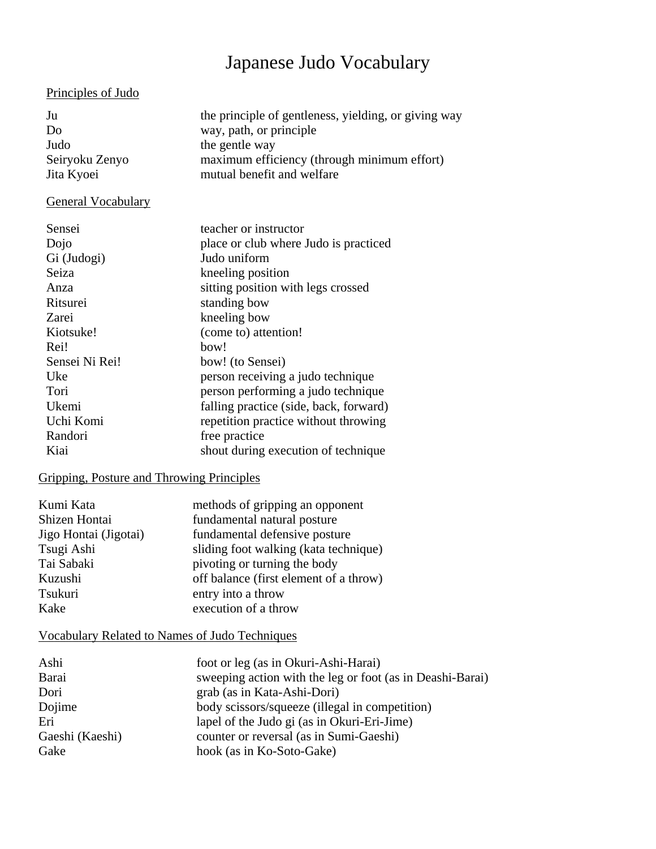# Japanese Judo Vocabulary

## Principles of Judo

| Ju             | the principle of gentleness, yielding, or giving way |
|----------------|------------------------------------------------------|
| Do             | way, path, or principle                              |
| Judo           | the gentle way                                       |
| Seiryoku Zenyo | maximum efficiency (through minimum effort)          |
| Jita Kyoei     | mutual benefit and welfare                           |
|                |                                                      |

# General Vocabulary

| Sensei         | teacher or instructor                  |
|----------------|----------------------------------------|
| Dojo           | place or club where Judo is practiced  |
| Gi (Judogi)    | Judo uniform                           |
| Seiza          | kneeling position                      |
| Anza           | sitting position with legs crossed     |
| Ritsurei       | standing bow                           |
| Zarei          | kneeling bow                           |
| Kiotsuke!      | (come to) attention!                   |
| Rei!           | bow!                                   |
| Sensei Ni Rei! | bow! (to Sensei)                       |
| Uke            | person receiving a judo technique      |
| Tori           | person performing a judo technique     |
| Ukemi          | falling practice (side, back, forward) |
| Uchi Komi      | repetition practice without throwing   |
| Randori        | free practice                          |
| Kiai           | shout during execution of technique    |

# Gripping, Posture and Throwing Principles

| Kumi Kata             | methods of gripping an opponent        |
|-----------------------|----------------------------------------|
| Shizen Hontai         | fundamental natural posture            |
| Jigo Hontai (Jigotai) | fundamental defensive posture          |
| Tsugi Ashi            | sliding foot walking (kata technique)  |
| Tai Sabaki            | pivoting or turning the body           |
| Kuzushi               | off balance (first element of a throw) |
| Tsukuri               | entry into a throw                     |
| Kake                  | execution of a throw                   |

# Vocabulary Related to Names of Judo Techniques

| Ashi            | foot or leg (as in Okuri-Ashi-Harai)                      |
|-----------------|-----------------------------------------------------------|
| Barai           | sweeping action with the leg or foot (as in Deashi-Barai) |
| Dori            | grab (as in Kata-Ashi-Dori)                               |
| Dojime          | body scissors/squeeze (illegal in competition)            |
| Eri             | lapel of the Judo gi (as in Okuri-Eri-Jime)               |
| Gaeshi (Kaeshi) | counter or reversal (as in Sumi-Gaeshi)                   |
| Gake            | hook (as in Ko-Soto-Gake)                                 |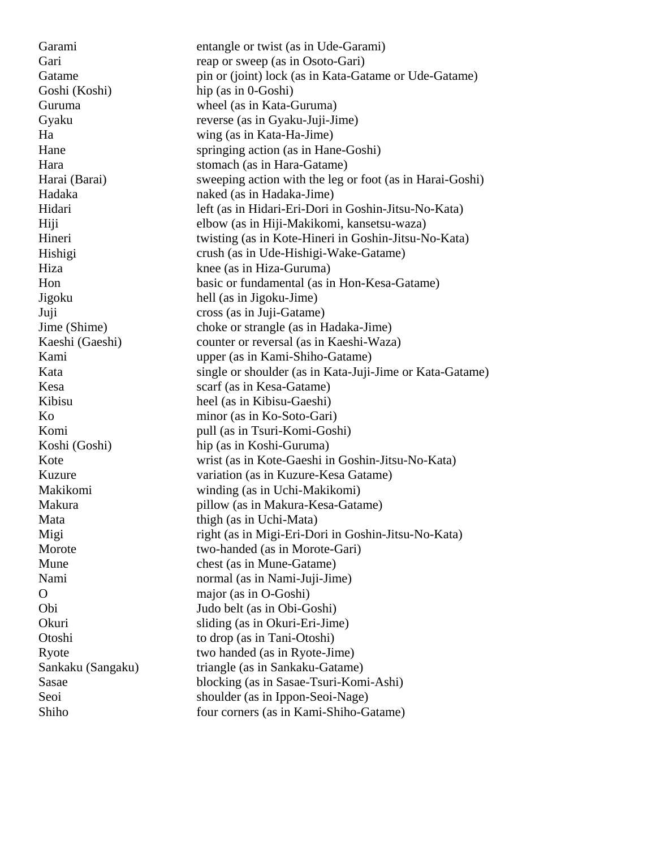Garami Gari Gatame Goshi (Koshi) Guruma Gyaku Ha Hane Hara Harai (Barai) Hadaka Hidari Hiji Hineri Hishigi Hiza Hon Jigoku Juji Jime (Shime) Kaeshi (Gaeshi) Kami Kata Kesa Kibisu Ko Komi Koshi (Goshi) Kote Kuzure Makikomi Makura Mata Migi Morote Mune Nami  $\Omega$ Obi Okuri Otoshi Ryote Sankaku (Sangaku) Sasae Seoi Shiho entangle or twist (as in Ude-Garami) reap or sweep (as in Osoto-Gari) pin or (joint) lock (as in Kata-Gatame or Ude-Gatame) hip (as in 0-Goshi) wheel (as in Kata-Guruma) reverse (as in Gyaku-Juji-Jime) wing (as in Kata-Ha-Jime) springing action (as in Hane-Goshi) stomach (as in Hara-Gatame) sweeping action with the leg or foot (as in Harai-Goshi) naked (as in Hadaka-Jime) left (as in Hidari-Eri-Dori in Goshin-Jitsu-No-Kata) elbow (as in Hiji-Makikomi, kansetsu-waza) twisting (as in Kote-Hineri in Goshin-Jitsu-No-Kata) crush (as in Ude-Hishigi-Wake-Gatame) knee (as in Hiza-Guruma) basic or fundamental (as in Hon-Kesa-Gatame) hell (as in Jigoku-Jime) cross (as in Juji-Gatame) choke or strangle (as in Hadaka-Jime) counter or reversal (as in Kaeshi-Waza) upper (as in Kami-Shiho-Gatame) single or shoulder (as in Kata-Juji-Jime or Kata-Gatame) scarf (as in Kesa-Gatame) heel (as in Kibisu-Gaeshi) minor (as in Ko-Soto-Gari) pull (as in Tsuri-Komi-Goshi) hip (as in Koshi-Guruma) wrist (as in Kote-Gaeshi in Goshin-Jitsu-No-Kata) variation (as in Kuzure-Kesa Gatame) winding (as in Uchi-Makikomi) pillow (as in Makura-Kesa-Gatame) thigh (as in Uchi-Mata) right (as in Migi-Eri-Dori in Goshin-Jitsu-No-Kata) two-handed (as in Morote-Gari) chest (as in Mune-Gatame) normal (as in Nami-Juji-Jime) major (as in O-Goshi) Judo belt (as in Obi-Goshi) sliding (as in Okuri-Eri-Jime) to drop (as in Tani-Otoshi) two handed (as in Ryote-Jime) triangle (as in Sankaku-Gatame) blocking (as in Sasae-Tsuri-Komi-Ashi) shoulder (as in Ippon-Seoi-Nage) four corners (as in Kami-Shiho-Gatame)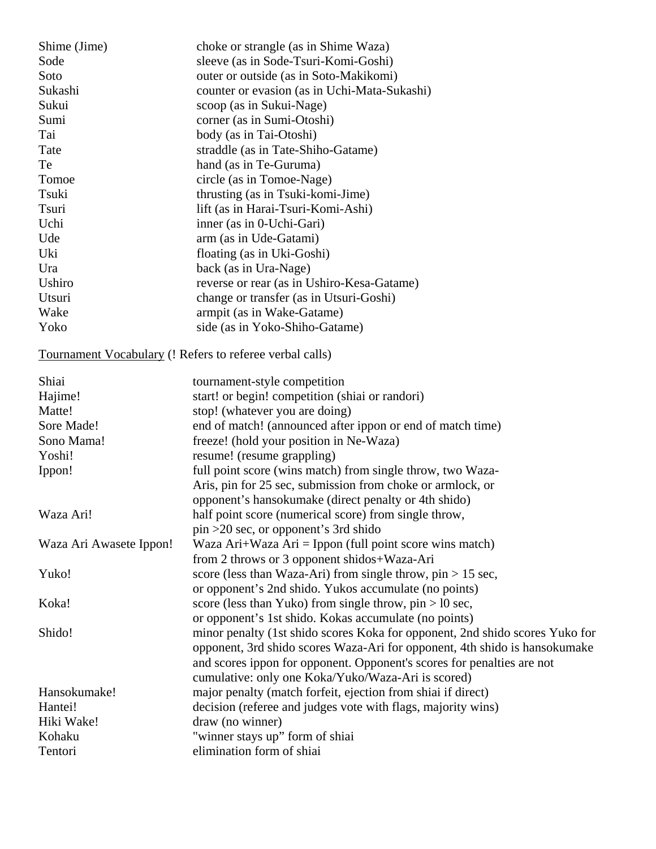| Shime (Jime) | choke or strangle (as in Shime Waza)         |
|--------------|----------------------------------------------|
| Sode         | sleeve (as in Sode-Tsuri-Komi-Goshi)         |
| Soto         | outer or outside (as in Soto-Makikomi)       |
| Sukashi      | counter or evasion (as in Uchi-Mata-Sukashi) |
| Sukui        | scoop (as in Sukui-Nage)                     |
| Sumi         | corner (as in Sumi-Otoshi)                   |
| Tai          | body (as in Tai-Otoshi)                      |
| Tate         | straddle (as in Tate-Shiho-Gatame)           |
| Te           | hand (as in Te-Guruma)                       |
| Tomoe        | circle (as in Tomoe-Nage)                    |
| Tsuki        | thrusting (as in Tsuki-komi-Jime)            |
| Tsuri        | lift (as in Harai-Tsuri-Komi-Ashi)           |
| Uchi         | inner (as in 0-Uchi-Gari)                    |
| Ude          | arm (as in Ude-Gatami)                       |
| Uki          | floating (as in Uki-Goshi)                   |
| Ura          | back (as in Ura-Nage)                        |
| Ushiro       | reverse or rear (as in Ushiro-Kesa-Gatame)   |
| Utsuri       | change or transfer (as in Utsuri-Goshi)      |
| Wake         | armpit (as in Wake-Gatame)                   |
| Yoko         | side (as in Yoko-Shiho-Gatame)               |
|              |                                              |

Tournament Vocabulary (! Refers to referee verbal calls)

| Shiai                   | tournament-style competition                                                 |
|-------------------------|------------------------------------------------------------------------------|
| Hajime!                 | start! or begin! competition (shiai or randori)                              |
| Matte!                  | stop! (whatever you are doing)                                               |
| Sore Made!              | end of match! (announced after ippon or end of match time)                   |
| Sono Mama!              | freeze! (hold your position in Ne-Waza)                                      |
| Yoshi!                  | resume! (resume grappling)                                                   |
| Ippon!                  | full point score (wins match) from single throw, two Waza-                   |
|                         | Aris, pin for 25 sec, submission from choke or armlock, or                   |
|                         | opponent's hansokumake (direct penalty or 4th shido)                         |
| Waza Ari!               | half point score (numerical score) from single throw,                        |
|                         | $pin > 20$ sec, or opponent's 3rd shido                                      |
| Waza Ari Awasete Ippon! | Waza Ari+Waza Ari = Ippon (full point score wins match)                      |
|                         | from 2 throws or 3 opponent shidos+Waza-Ari                                  |
| Yuko!                   | score (less than Waza-Ari) from single throw, $pin > 15$ sec,                |
|                         | or opponent's 2nd shido. Yukos accumulate (no points)                        |
| Koka!                   | score (less than Yuko) from single throw, $pin > 10$ sec,                    |
|                         | or opponent's 1st shido. Kokas accumulate (no points)                        |
| Shido!                  | minor penalty (1st shido scores Koka for opponent, 2nd shido scores Yuko for |
|                         | opponent, 3rd shido scores Waza-Ari for opponent, 4th shido is hansokumake   |
|                         | and scores ippon for opponent. Opponent's scores for penalties are not       |
|                         | cumulative: only one Koka/Yuko/Waza-Ari is scored)                           |
| Hansokumake!            | major penalty (match forfeit, ejection from shiai if direct)                 |
| Hantei!                 | decision (referee and judges vote with flags, majority wins)                 |
| Hiki Wake!              | draw (no winner)                                                             |
| Kohaku                  | "winner stays up" form of shiai                                              |
| Tentori                 | elimination form of shiai                                                    |